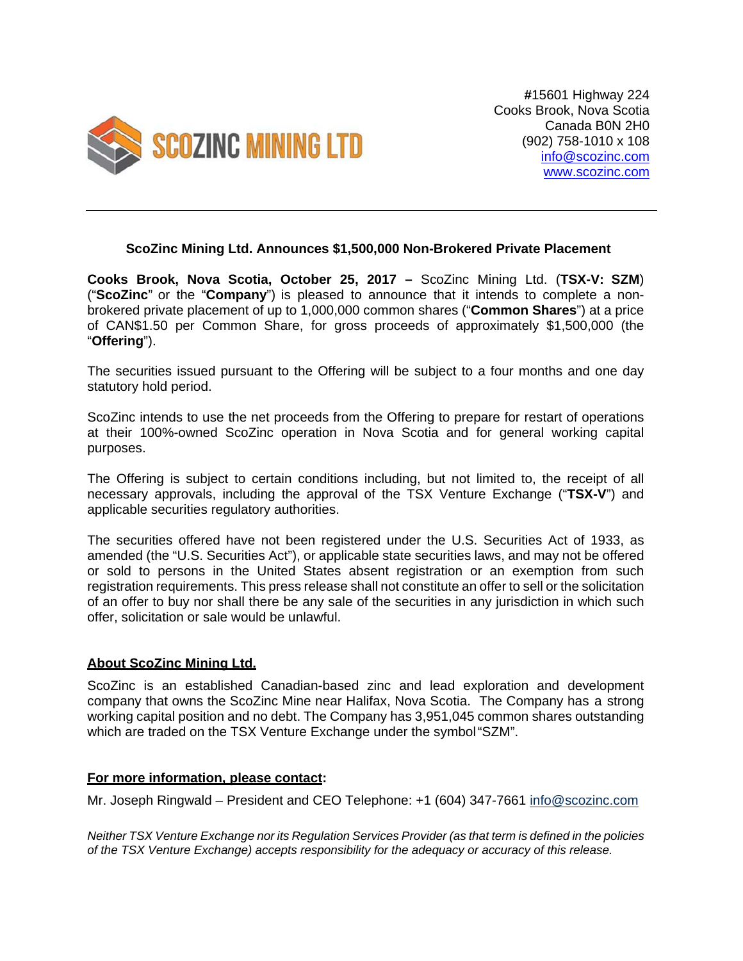

**#**15601 Highway 224 Cooks Brook, Nova Scotia Canada B0N 2H0 (902) 758-1010 x 108 info@scozinc.com www.scozinc.com

## **ScoZinc Mining Ltd. Announces \$1,500,000 Non-Brokered Private Placement**

**Cooks Brook, Nova Scotia, October 25, 2017 –** ScoZinc Mining Ltd. (**TSX-V: SZM**) ("**ScoZinc**" or the "**Company**") is pleased to announce that it intends to complete a nonbrokered private placement of up to 1,000,000 common shares ("**Common Shares**") at a price of CAN\$1.50 per Common Share, for gross proceeds of approximately \$1,500,000 (the "**Offering**").

The securities issued pursuant to the Offering will be subject to a four months and one day statutory hold period.

ScoZinc intends to use the net proceeds from the Offering to prepare for restart of operations at their 100%-owned ScoZinc operation in Nova Scotia and for general working capital purposes.

The Offering is subject to certain conditions including, but not limited to, the receipt of all necessary approvals, including the approval of the TSX Venture Exchange ("**TSX-V**") and applicable securities regulatory authorities.

The securities offered have not been registered under the U.S. Securities Act of 1933, as amended (the "U.S. Securities Act"), or applicable state securities laws, and may not be offered or sold to persons in the United States absent registration or an exemption from such registration requirements. This press release shall not constitute an offer to sell or the solicitation of an offer to buy nor shall there be any sale of the securities in any jurisdiction in which such offer, solicitation or sale would be unlawful.

## **About ScoZinc Mining Ltd.**

ScoZinc is an established Canadian-based zinc and lead exploration and development company that owns the ScoZinc Mine near Halifax, Nova Scotia. The Company has a strong working capital position and no debt. The Company has 3,951,045 common shares outstanding which are traded on the TSX Venture Exchange under the symbol "SZM".

## **For more information, please contact:**

Mr. Joseph Ringwald – President and CEO Telephone: +1 (604) 347-7661 info@scozinc.com

*Neither TSX Venture Exchange nor its Regulation Services Provider (as that term is defined in the policies of the TSX Venture Exchange) accepts responsibility for the adequacy or accuracy of this release.*